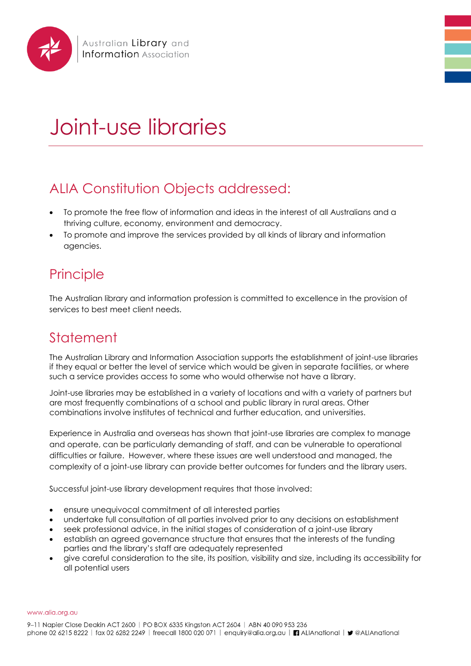

## Joint-use libraries

## ALIA Constitution Objects addressed:

- To promote the free flow of information and ideas in the interest of all Australians and a thriving culture, economy, environment and democracy.
- To promote and improve the services provided by all kinds of library and information agencies.

## **Principle**

The Australian library and information profession is committed to excellence in the provision of services to best meet client needs.

## **Statement**

The Australian Library and Information Association supports the establishment of joint-use libraries if they equal or better the level of service which would be given in separate facilities, or where such a service provides access to some who would otherwise not have a library.

Joint-use libraries may be established in a variety of locations and with a variety of partners but are most frequently combinations of a school and public library in rural areas. Other combinations involve institutes of technical and further education, and universities.

Experience in Australia and overseas has shown that joint-use libraries are complex to manage and operate, can be particularly demanding of staff, and can be vulnerable to operational difficulties or failure. However, where these issues are well understood and managed, the complexity of a joint-use library can provide better outcomes for funders and the library users.

Successful joint-use library development requires that those involved:

- ensure unequivocal commitment of all interested parties
- undertake full consultation of all parties involved prior to any decisions on establishment
- seek professional advice, in the initial stages of consideration of a joint-use library
- establish an agreed governance structure that ensures that the interests of the funding parties and the library's staff are adequately represented
- give careful consideration to the site, its position, visibility and size, including its accessibility for all potential users

www.alia.org.au